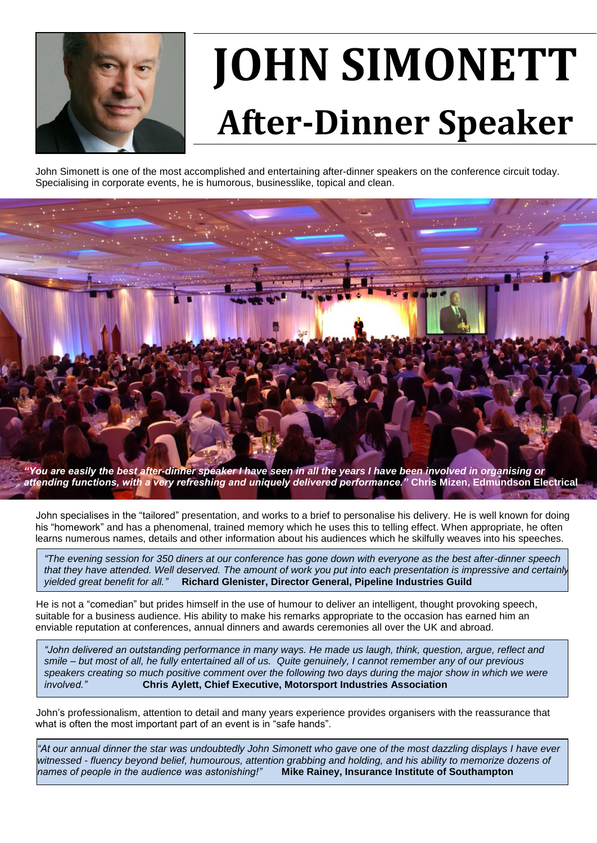

## **JOHN SIMONETT After-Dinner Speaker**

John Simonett is one of the most accomplished and entertaining after-dinner speakers on the conference circuit today. Specialising in corporate events, he is humorous, businesslike, topical and clean.



*"You are easily the best after-dinner speaker I have seen in all the years I have been involved in organising or attending functions, with a very refreshing and uniquely delivered performance."* **Chris Mizen, Edmundson Electrical**

 John specialises in the "tailored" presentation, and works to a brief to personalise his delivery. He is well known for doing his "homework" and has a phenomenal, trained memory which he uses this to telling effect. When appropriate, he often learns numerous names, details and other information about his audiences which he skilfully weaves into his speeches.

*"The evening session for 350 diners at our conference has gone down with everyone as the best after-dinner speech that they have attended. Well deserved. The amount of work you put into each presentation is impressive and certainly yielded great benefit for all."* **Richard Glenister, Director General, Pipeline Industries Guild**

 He is not a "comedian" but prides himself in the use of humour to deliver an intelligent, thought provoking speech, suitable for a business audience. His ability to make his remarks appropriate to the occasion has earned him an enviable reputation at conferences, annual dinners and awards ceremonies all over the UK and abroad.

*"John delivered an outstanding performance in many ways. He made us laugh, think, question, argue, reflect and smile – but most of all, he fully entertained all of us. Quite genuinely, I cannot remember any of our previous speakers creating so much positive comment over the following two days during the major show in which we were involved."* **Chris Aylett, Chief Executive, Motorsport Industries Association**

 John's professionalism, attention to detail and many years experience provides organisers with the reassurance that what is often the most important part of an event is in "safe hands".

*"At our annual dinner the star was undoubtedly John Simonett who gave one of the most dazzling displays I have ever witnessed - fluency beyond belief, humourous, attention grabbing and holding, and his ability to memorize dozens of names of people in the audience was astonishing!"* **Mike Rainey, Insurance Institute of Southampton**